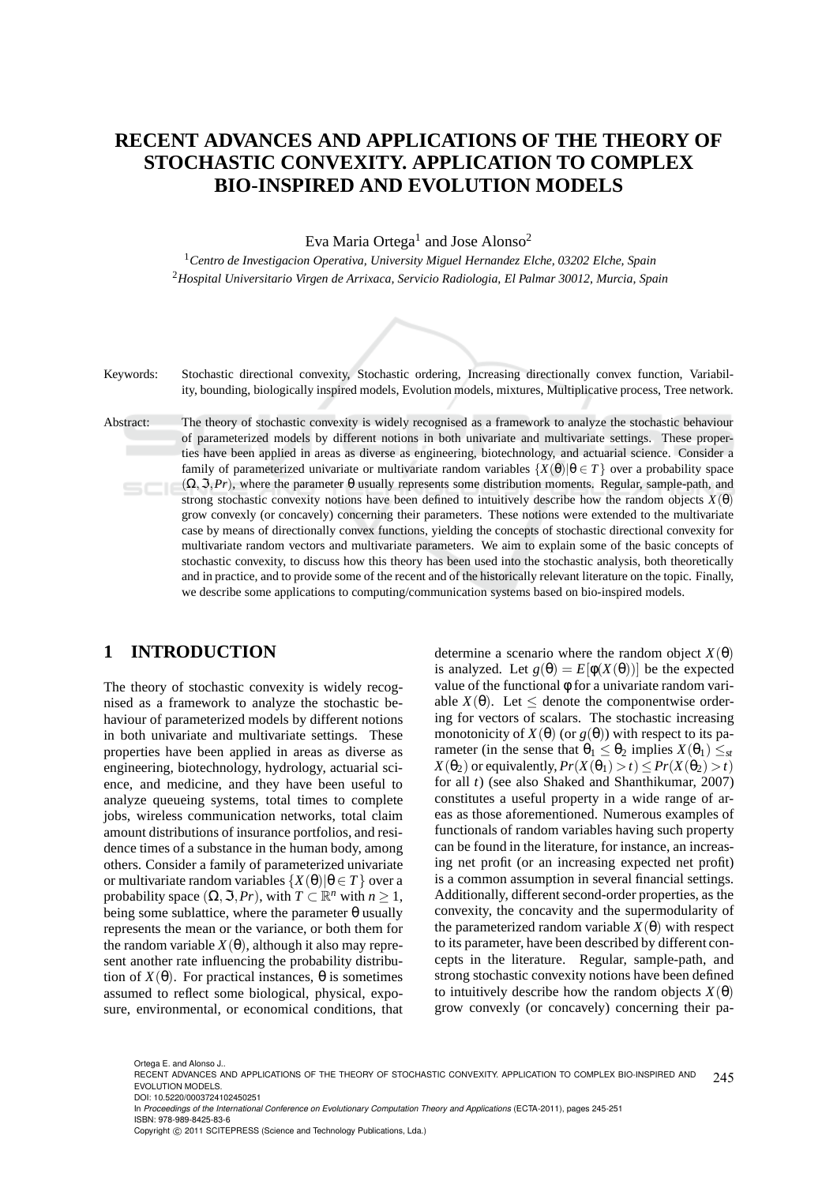# **RECENT ADVANCES AND APPLICATIONS OF THE THEORY OF STOCHASTIC CONVEXITY. APPLICATION TO COMPLEX BIO-INSPIRED AND EVOLUTION MODELS**

Eva Maria Ortega $^1$  and Jose Alonso $^2$ 

<sup>1</sup>*Centro de Investigacion Operativa, University Miguel Hernandez Elche, 03202 Elche, Spain* <sup>2</sup>*Hospital Universitario Virgen de Arrixaca, Servicio Radiologia, El Palmar 30012, Murcia, Spain*



Keywords: Stochastic directional convexity, Stochastic ordering, Increasing directionally convex function, Variability, bounding, biologically inspired models, Evolution models, mixtures, Multiplicative process, Tree network.

Abstract: The theory of stochastic convexity is widely recognised as a framework to analyze the stochastic behaviour of parameterized models by different notions in both univariate and multivariate settings. These properties have been applied in areas as diverse as engineering, biotechnology, and actuarial science. Consider a family of parameterized univariate or multivariate random variables  $\{X(\theta)|\theta \in T\}$  over a probability space  $(\Omega, \mathcal{F}, Pr)$ , where the parameter  $\theta$  usually represents some distribution moments. Regular, sample-path, and  $SCIE$ strong stochastic convexity notions have been defined to intuitively describe how the random objects  $X(\theta)$ grow convexly (or concavely) concerning their parameters. These notions were extended to the multivariate case by means of directionally convex functions, yielding the concepts of stochastic directional convexity for multivariate random vectors and multivariate parameters. We aim to explain some of the basic concepts of stochastic convexity, to discuss how this theory has been used into the stochastic analysis, both theoretically and in practice, and to provide some of the recent and of the historically relevant literature on the topic. Finally, we describe some applications to computing/communication systems based on bio-inspired models.

## **1 INTRODUCTION**

The theory of stochastic convexity is widely recognised as a framework to analyze the stochastic behaviour of parameterized models by different notions in both univariate and multivariate settings. These properties have been applied in areas as diverse as engineering, biotechnology, hydrology, actuarial science, and medicine, and they have been useful to analyze queueing systems, total times to complete jobs, wireless communication networks, total claim amount distributions of insurance portfolios, and residence times of a substance in the human body, among others. Consider a family of parameterized univariate or multivariate random variables  $\{X(\theta)|\theta \in T\}$  over a probability space  $(\Omega, \mathfrak{S}, Pr)$ , with  $T \subset \mathbb{R}^n$  with  $n \geq 1$ , being some sublattice, where the parameter  $\theta$  usually represents the mean or the variance, or both them for the random variable  $X(\theta)$ , although it also may represent another rate influencing the probability distribution of  $X(\theta)$ . For practical instances,  $\theta$  is sometimes assumed to reflect some biological, physical, exposure, environmental, or economical conditions, that

determine a scenario where the random object  $X(\theta)$ is analyzed. Let  $g(\theta) = E[\phi(X(\theta))]$  be the expected value of the functional φ for a univariate random variable  $X(\theta)$ . Let  $\leq$  denote the componentwise ordering for vectors of scalars. The stochastic increasing monotonicity of  $X(\theta)$  (or  $g(\theta)$ ) with respect to its parameter (in the sense that  $\theta_1 \leq \theta_2$  implies  $X(\theta_1) \leq_{st}$  $X(\theta_2)$  or equivalently,  $Pr(X(\theta_1) > t) \leq Pr(X(\theta_2) > t)$ for all *t*) (see also Shaked and Shanthikumar, 2007) constitutes a useful property in a wide range of areas as those aforementioned. Numerous examples of functionals of random variables having such property can be found in the literature, for instance, an increasing net profit (or an increasing expected net profit) is a common assumption in several financial settings. Additionally, different second-order properties, as the convexity, the concavity and the supermodularity of the parameterized random variable  $X(\theta)$  with respect to its parameter, have been described by different concepts in the literature. Regular, sample-path, and strong stochastic convexity notions have been defined to intuitively describe how the random objects  $X(\theta)$ grow convexly (or concavely) concerning their pa-

Ortega E. and Alonso J..

<sup>245</sup> RECENT ADVANCES AND APPLICATIONS OF THE THEORY OF STOCHASTIC CONVEXITY. APPLICATION TO COMPLEX BIO-INSPIRED AND EVOLUTION MODELS. DOI: 10.5220/0003724102450251

In *Proceedings of the International Conference on Evolutionary Computation Theory and Applications* (ECTA-2011), pages 245-251 ISBN: 978-989-8425-83-6

Copyright © 2011 SCITEPRESS (Science and Technology Publications, Lda.)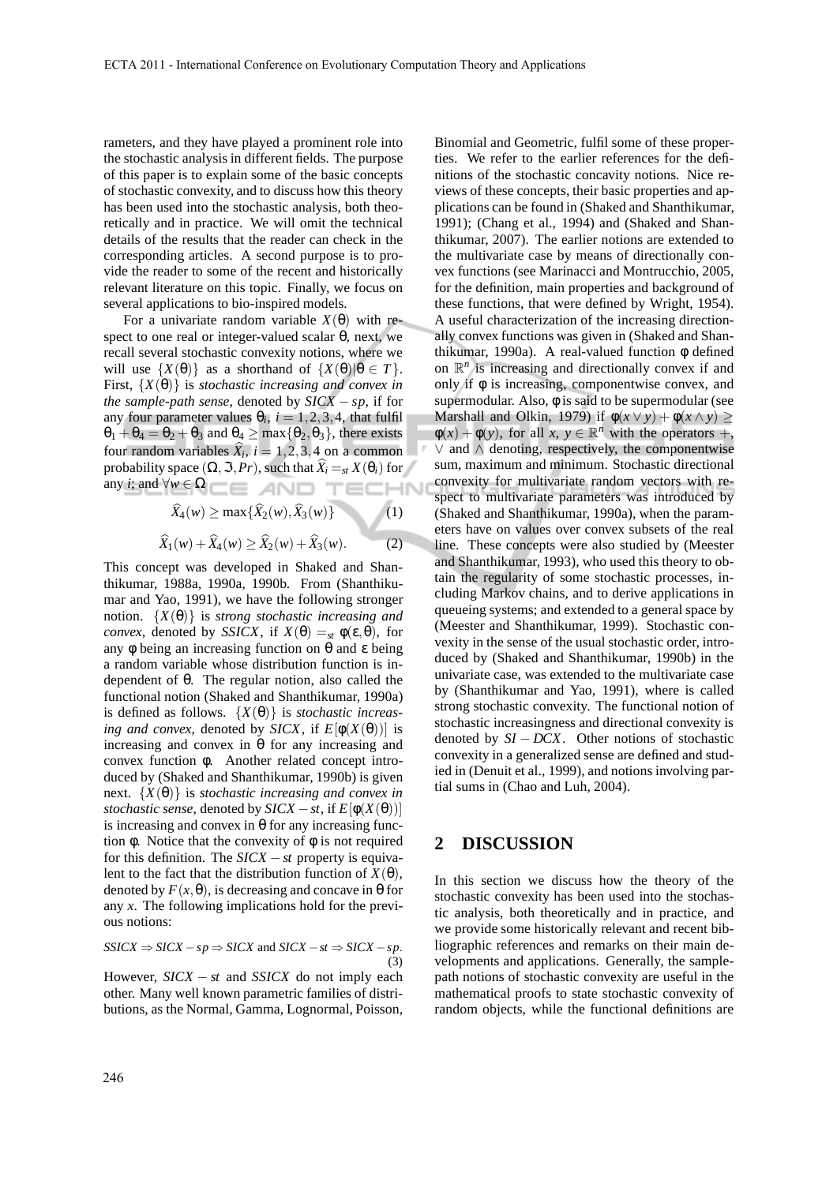rameters, and they have played a prominent role into the stochastic analysis in different fields. The purpose of this paper is to explain some of the basic concepts of stochastic convexity, and to discuss how this theory has been used into the stochastic analysis, both theoretically and in practice. We will omit the technical details of the results that the reader can check in the corresponding articles. A second purpose is to provide the reader to some of the recent and historically relevant literature on this topic. Finally, we focus on several applications to bio-inspired models.

For a univariate random variable  $X(\theta)$  with respect to one real or integer-valued scalar  $θ$ , next, we recall several stochastic convexity notions, where we will use  $\{X(\theta)\}\$ as a shorthand of  $\{X(\theta)|\theta \in T\}$ . First, {*X*(θ)} is *stochastic increasing and convex in the sample-path sense*, denoted by *SICX* − *sp*, if for any four parameter values  $\theta_i$ ,  $i = 1, 2, 3, 4$ , that fulfil  $\theta_1 + \theta_4 = \theta_2 + \theta_3$  and  $\theta_4 \ge \max{\{\theta_2, \theta_3\}}$ , there exists four random variables  $\hat{X}_i$ ,  $i = 1, 2, 3, 4$  on a common probability space  $(\Omega, \mathfrak{I}, Pr)$ , such that  $\widehat{X}_i =_{st} X(\theta_i)$  for any *i*; and ∀*w* ∈ Ω

$$
\widehat{X}_4(w) \ge \max\{\widehat{X}_2(w), \widehat{X}_3(w)\}\tag{1}
$$
  

$$
\widehat{X}_1(w) + \widehat{X}_4(w) \ge \widehat{X}_2(w) + \widehat{X}_3(w).
$$
 (2)

This concept was developed in Shaked and Shanthikumar, 1988a, 1990a, 1990b. From (Shanthikumar and Yao, 1991), we have the following stronger notion.  $\{X(\theta)\}\$ is *strong stochastic increasing and convex*, denoted by *SSICX*, if  $X(\theta) =_{st} \phi(\epsilon, \theta)$ , for any φ being an increasing function on  $θ$  and  $ε$  being a random variable whose distribution function is independent of θ. The regular notion, also called the functional notion (Shaked and Shanthikumar, 1990a) is defined as follows. {*X*(θ)} is *stochastic increasing and convex*, denoted by *SICX*, if  $E[\phi(X(\theta))]$  is increasing and convex in θ for any increasing and convex function φ. Another related concept introduced by (Shaked and Shanthikumar, 1990b) is given next. {*X*(θ)} is *stochastic increasing and convex in stochastic sense*, denoted by  $SICX - st$ , if  $E[\phi(X(\theta))]$ is increasing and convex in  $\theta$  for any increasing function φ. Notice that the convexity of  $φ$  is not required for this definition. The *SICX* −*st* property is equivalent to the fact that the distribution function of  $X(\theta)$ , denoted by  $F(x, \theta)$ , is decreasing and concave in  $\theta$  for any *x*. The following implications hold for the previous notions:

 $SSICK \Rightarrow SICK - sp \Rightarrow SICK$  and  $SICK - st \Rightarrow SICK - sp$ . (3)

However, *SICX* − *st* and *SSICX* do not imply each other. Many well known parametric families of distributions, as the Normal, Gamma, Lognormal, Poisson, Binomial and Geometric, fulfil some of these properties. We refer to the earlier references for the definitions of the stochastic concavity notions. Nice reviews of these concepts, their basic properties and applications can be found in (Shaked and Shanthikumar, 1991); (Chang et al., 1994) and (Shaked and Shanthikumar, 2007). The earlier notions are extended to the multivariate case by means of directionally convex functions (see Marinacci and Montrucchio, 2005, for the definition, main properties and background of these functions, that were defined by Wright, 1954). A useful characterization of the increasing directionally convex functions was given in (Shaked and Shanthikumar, 1990a). A real-valued function  $\phi$  defined on  $\mathbb{R}^n$  is increasing and directionally convex if and only if  $\phi$  is increasing, componentwise convex, and supermodular. Also, φ is said to be supermodular (see Marshall and Olkin, 1979) if  $\phi(x \lor y) + \phi(x \land y) \ge$  $\phi(x) + \phi(y)$ , for all  $x, y \in \mathbb{R}^n$  with the operators +, ∨ and ∧ denoting, respectively, the componentwise sum, maximum and minimum. Stochastic directional convexity for multivariate random vectors with respect to multivariate parameters was introduced by (Shaked and Shanthikumar, 1990a), when the parameters have on values over convex subsets of the real line. These concepts were also studied by (Meester and Shanthikumar, 1993), who used this theory to obtain the regularity of some stochastic processes, including Markov chains, and to derive applications in queueing systems; and extended to a general space by (Meester and Shanthikumar, 1999). Stochastic convexity in the sense of the usual stochastic order, introduced by (Shaked and Shanthikumar, 1990b) in the univariate case, was extended to the multivariate case by (Shanthikumar and Yao, 1991), where is called strong stochastic convexity. The functional notion of stochastic increasingness and directional convexity is denoted by *SI* − *DCX*. Other notions of stochastic convexity in a generalized sense are defined and studied in (Denuit et al., 1999), and notions involving partial sums in (Chao and Luh, 2004).

### **2 DISCUSSION**

In this section we discuss how the theory of the stochastic convexity has been used into the stochastic analysis, both theoretically and in practice, and we provide some historically relevant and recent bibliographic references and remarks on their main developments and applications. Generally, the samplepath notions of stochastic convexity are useful in the mathematical proofs to state stochastic convexity of random objects, while the functional definitions are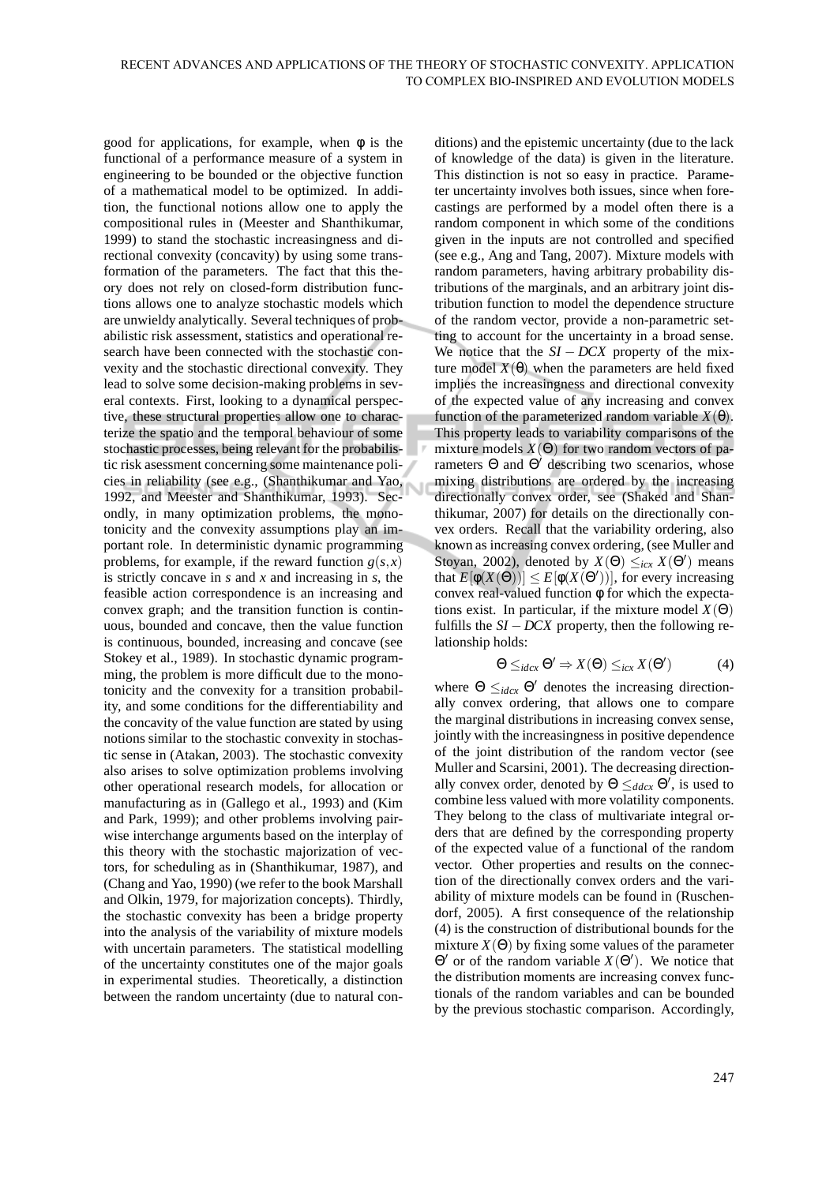good for applications, for example, when  $\phi$  is the functional of a performance measure of a system in engineering to be bounded or the objective function of a mathematical model to be optimized. In addition, the functional notions allow one to apply the compositional rules in (Meester and Shanthikumar, 1999) to stand the stochastic increasingness and directional convexity (concavity) by using some transformation of the parameters. The fact that this theory does not rely on closed-form distribution functions allows one to analyze stochastic models which are unwieldy analytically. Several techniques of probabilistic risk assessment, statistics and operational research have been connected with the stochastic convexity and the stochastic directional convexity. They lead to solve some decision-making problems in several contexts. First, looking to a dynamical perspective, these structural properties allow one to characterize the spatio and the temporal behaviour of some stochastic processes, being relevant for the probabilistic risk asessment concerning some maintenance policies in reliability (see e.g., (Shanthikumar and Yao, 1992, and Meester and Shanthikumar, 1993). Secondly, in many optimization problems, the monotonicity and the convexity assumptions play an important role. In deterministic dynamic programming problems, for example, if the reward function  $g(s, x)$ is strictly concave in *s* and *x* and increasing in *s*, the feasible action correspondence is an increasing and convex graph; and the transition function is continuous, bounded and concave, then the value function is continuous, bounded, increasing and concave (see Stokey et al., 1989). In stochastic dynamic programming, the problem is more difficult due to the monotonicity and the convexity for a transition probability, and some conditions for the differentiability and the concavity of the value function are stated by using notions similar to the stochastic convexity in stochastic sense in (Atakan, 2003). The stochastic convexity also arises to solve optimization problems involving other operational research models, for allocation or manufacturing as in (Gallego et al., 1993) and (Kim and Park, 1999); and other problems involving pairwise interchange arguments based on the interplay of this theory with the stochastic majorization of vectors, for scheduling as in (Shanthikumar, 1987), and (Chang and Yao, 1990) (we refer to the book Marshall and Olkin, 1979, for majorization concepts). Thirdly, the stochastic convexity has been a bridge property into the analysis of the variability of mixture models with uncertain parameters. The statistical modelling of the uncertainty constitutes one of the major goals in experimental studies. Theoretically, a distinction between the random uncertainty (due to natural conditions) and the epistemic uncertainty (due to the lack of knowledge of the data) is given in the literature. This distinction is not so easy in practice. Parameter uncertainty involves both issues, since when forecastings are performed by a model often there is a random component in which some of the conditions given in the inputs are not controlled and specified (see e.g., Ang and Tang, 2007). Mixture models with random parameters, having arbitrary probability distributions of the marginals, and an arbitrary joint distribution function to model the dependence structure of the random vector, provide a non-parametric setting to account for the uncertainty in a broad sense. We notice that the  $SI - DCX$  property of the mixture model  $X(θ)$  when the parameters are held fixed implies the increasingness and directional convexity of the expected value of any increasing and convex function of the parameterized random variable  $X(\theta)$ . This property leads to variability comparisons of the mixture models  $X(\Theta)$  for two random vectors of parameters  $\Theta$  and  $\Theta'$  describing two scenarios, whose mixing distributions are ordered by the increasing directionally convex order, see (Shaked and Shanthikumar, 2007) for details on the directionally convex orders. Recall that the variability ordering, also known as increasing convex ordering, (see Muller and Stoyan, 2002), denoted by  $X(\Theta) \leq_{icx} X(\Theta')$  means that  $E[\phi(X(\Theta))] \leq E[\phi(X(\Theta'))]$ , for every increasing convex real-valued function φ for which the expectations exist. In particular, if the mixture model  $X(\Theta)$ fulfills the  $SI - DCX$  property, then the following relationship holds:

$$
\Theta \leq_{idcx} \Theta' \Rightarrow X(\Theta) \leq_{icx} X(\Theta')
$$
 (4)

where  $\Theta \leq_{idcx} \Theta'$  denotes the increasing directionally convex ordering, that allows one to compare the marginal distributions in increasing convex sense, jointly with the increasingness in positive dependence of the joint distribution of the random vector (see Muller and Scarsini, 2001). The decreasing directionally convex order, denoted by  $\Theta \leq_{ddcx} \Theta'$ , is used to combine less valued with more volatility components. They belong to the class of multivariate integral orders that are defined by the corresponding property of the expected value of a functional of the random vector. Other properties and results on the connection of the directionally convex orders and the variability of mixture models can be found in (Ruschendorf, 2005). A first consequence of the relationship (4) is the construction of distributional bounds for the mixture  $X(\Theta)$  by fixing some values of the parameter  $Θ'$  or of the random variable  $X(Θ')$ . We notice that the distribution moments are increasing convex functionals of the random variables and can be bounded by the previous stochastic comparison. Accordingly,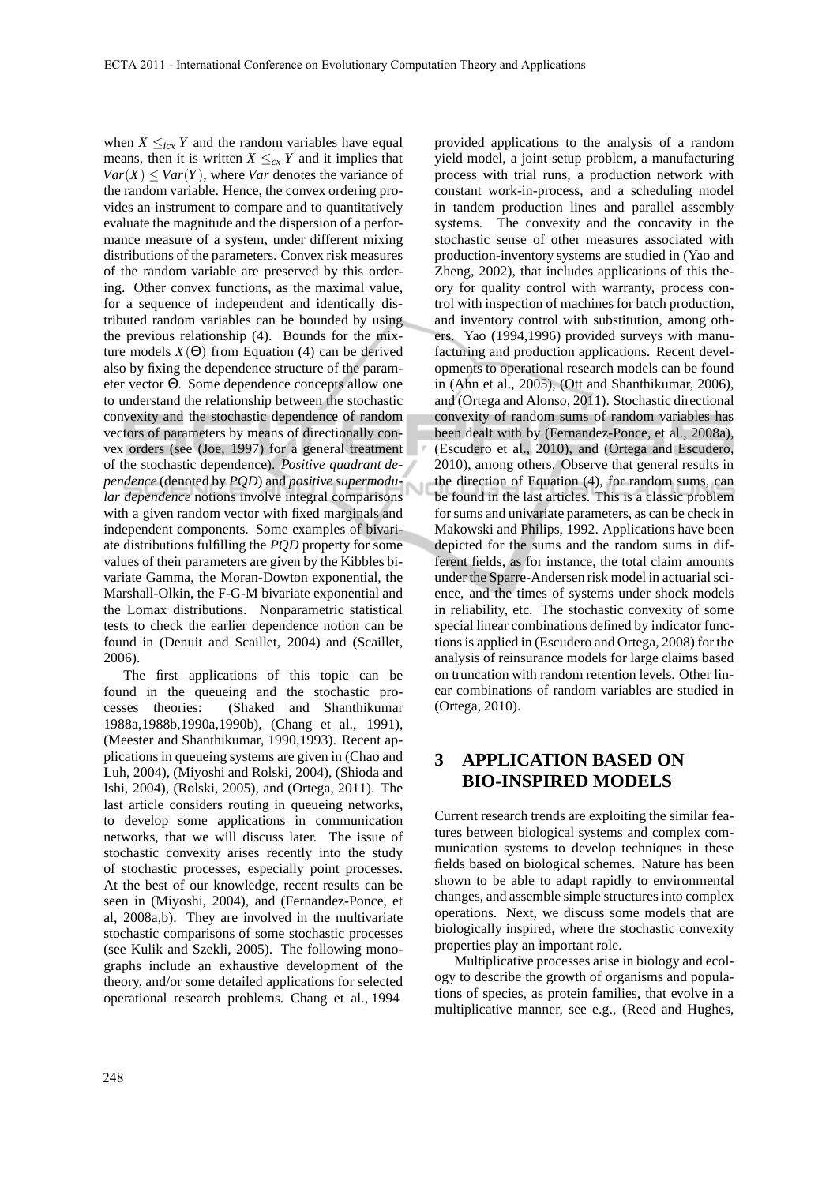when  $X \leq_{icx} Y$  and the random variables have equal means, then it is written  $X \leq_{cx} Y$  and it implies that  $Var(X) \leq Var(Y)$ , where *Var* denotes the variance of the random variable. Hence, the convex ordering provides an instrument to compare and to quantitatively evaluate the magnitude and the dispersion of a performance measure of a system, under different mixing distributions of the parameters. Convex risk measures of the random variable are preserved by this ordering. Other convex functions, as the maximal value, for a sequence of independent and identically distributed random variables can be bounded by using the previous relationship (4). Bounds for the mixture models  $X(\Theta)$  from Equation (4) can be derived also by fixing the dependence structure of the parameter vector Θ. Some dependence concepts allow one to understand the relationship between the stochastic convexity and the stochastic dependence of random vectors of parameters by means of directionally convex orders (see (Joe, 1997) for a general treatment of the stochastic dependence). *Positive quadrant dependence* (denoted by *PQD*) and *positive supermodular dependence* notions involve integral comparisons with a given random vector with fixed marginals and independent components. Some examples of bivariate distributions fulfilling the *PQD* property for some values of their parameters are given by the Kibbles bivariate Gamma, the Moran-Dowton exponential, the Marshall-Olkin, the F-G-M bivariate exponential and the Lomax distributions. Nonparametric statistical tests to check the earlier dependence notion can be found in (Denuit and Scaillet, 2004) and (Scaillet, 2006).

The first applications of this topic can be found in the queueing and the stochastic processes theories: (Shaked and Shanthikumar 1988a,1988b,1990a,1990b), (Chang et al., 1991), (Meester and Shanthikumar, 1990,1993). Recent applications in queueing systems are given in (Chao and Luh, 2004), (Miyoshi and Rolski, 2004), (Shioda and Ishi, 2004), (Rolski, 2005), and (Ortega, 2011). The last article considers routing in queueing networks, to develop some applications in communication networks, that we will discuss later. The issue of stochastic convexity arises recently into the study of stochastic processes, especially point processes. At the best of our knowledge, recent results can be seen in (Miyoshi, 2004), and (Fernandez-Ponce, et al, 2008a,b). They are involved in the multivariate stochastic comparisons of some stochastic processes (see Kulik and Szekli, 2005). The following monographs include an exhaustive development of the theory, and/or some detailed applications for selected operational research problems. Chang et al., 1994

provided applications to the analysis of a random yield model, a joint setup problem, a manufacturing process with trial runs, a production network with constant work-in-process, and a scheduling model in tandem production lines and parallel assembly systems. The convexity and the concavity in the stochastic sense of other measures associated with production-inventory systems are studied in (Yao and Zheng, 2002), that includes applications of this theory for quality control with warranty, process control with inspection of machines for batch production, and inventory control with substitution, among others. Yao (1994,1996) provided surveys with manufacturing and production applications. Recent developments to operational research models can be found in (Ahn et al., 2005), (Ott and Shanthikumar, 2006), and (Ortega and Alonso, 2011). Stochastic directional convexity of random sums of random variables has been dealt with by (Fernandez-Ponce, et al., 2008a), (Escudero et al., 2010), and (Ortega and Escudero, 2010), among others. Observe that general results in the direction of Equation (4), for random sums, can be found in the last articles. This is a classic problem for sums and univariate parameters, as can be check in Makowski and Philips, 1992. Applications have been depicted for the sums and the random sums in different fields, as for instance, the total claim amounts under the Sparre-Andersen risk model in actuarial science, and the times of systems under shock models in reliability, etc. The stochastic convexity of some special linear combinations defined by indicator functions is applied in (Escudero and Ortega, 2008) for the analysis of reinsurance models for large claims based on truncation with random retention levels. Other linear combinations of random variables are studied in (Ortega, 2010).

## **3 APPLICATION BASED ON BIO-INSPIRED MODELS**

Current research trends are exploiting the similar features between biological systems and complex communication systems to develop techniques in these fields based on biological schemes. Nature has been shown to be able to adapt rapidly to environmental changes, and assemble simple structures into complex operations. Next, we discuss some models that are biologically inspired, where the stochastic convexity properties play an important role.

Multiplicative processes arise in biology and ecology to describe the growth of organisms and populations of species, as protein families, that evolve in a multiplicative manner, see e.g., (Reed and Hughes,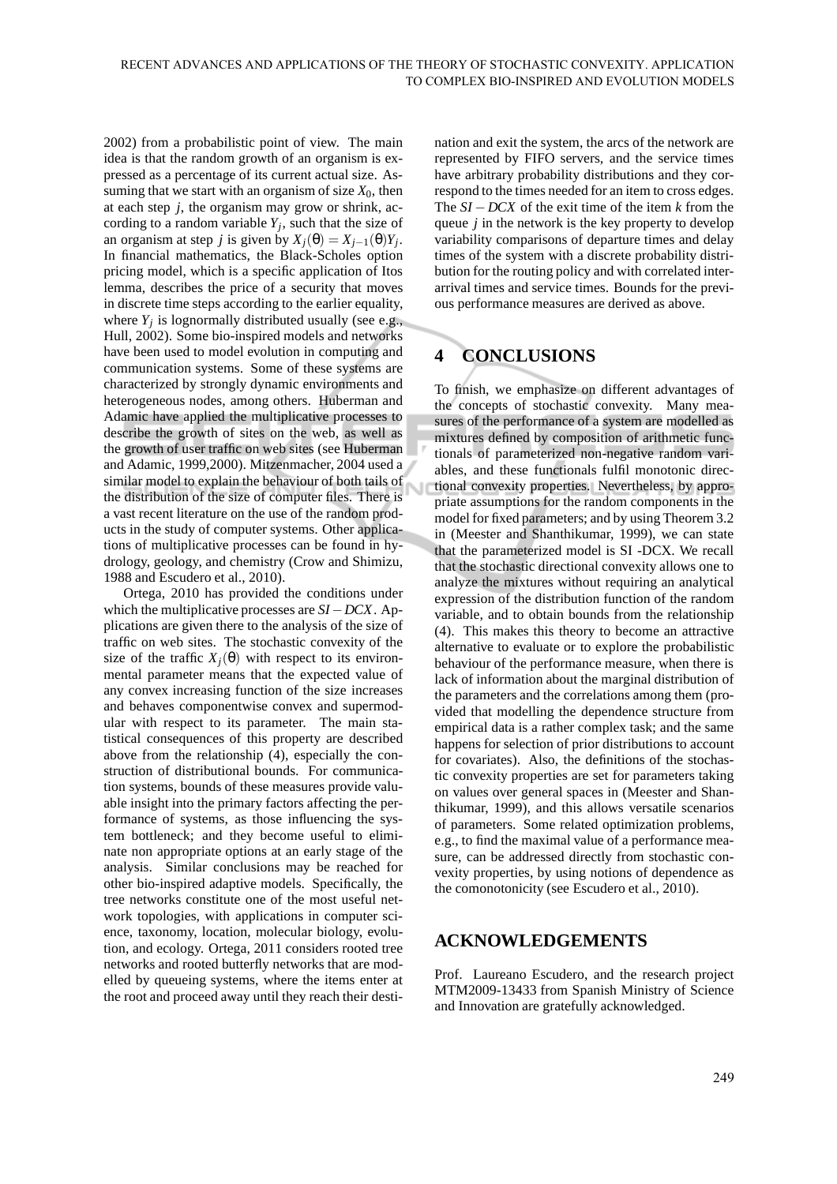2002) from a probabilistic point of view. The main idea is that the random growth of an organism is expressed as a percentage of its current actual size. Assuming that we start with an organism of size  $X_0$ , then at each step *j*, the organism may grow or shrink, according to a random variable  $Y_j$ , such that the size of an organism at step *j* is given by  $X_j(\theta) = X_{j-1}(\theta)Y_j$ . In financial mathematics, the Black-Scholes option pricing model, which is a specific application of Itos lemma, describes the price of a security that moves in discrete time steps according to the earlier equality, where  $Y_j$  is lognormally distributed usually (see e.g., Hull, 2002). Some bio-inspired models and networks have been used to model evolution in computing and communication systems. Some of these systems are characterized by strongly dynamic environments and heterogeneous nodes, among others. Huberman and Adamic have applied the multiplicative processes to describe the growth of sites on the web, as well as the growth of user traffic on web sites (see Huberman and Adamic, 1999,2000). Mitzenmacher, 2004 used a similar model to explain the behaviour of both tails of the distribution of the size of computer files. There is a vast recent literature on the use of the random products in the study of computer systems. Other applications of multiplicative processes can be found in hydrology, geology, and chemistry (Crow and Shimizu, 1988 and Escudero et al., 2010).

Ortega, 2010 has provided the conditions under which the multiplicative processes are *SI*−*DCX*. Applications are given there to the analysis of the size of traffic on web sites. The stochastic convexity of the size of the traffic  $X_i(\theta)$  with respect to its environmental parameter means that the expected value of any convex increasing function of the size increases and behaves componentwise convex and supermodular with respect to its parameter. The main statistical consequences of this property are described above from the relationship (4), especially the construction of distributional bounds. For communication systems, bounds of these measures provide valuable insight into the primary factors affecting the performance of systems, as those influencing the system bottleneck; and they become useful to eliminate non appropriate options at an early stage of the analysis. Similar conclusions may be reached for other bio-inspired adaptive models. Specifically, the tree networks constitute one of the most useful network topologies, with applications in computer science, taxonomy, location, molecular biology, evolution, and ecology. Ortega, 2011 considers rooted tree networks and rooted butterfly networks that are modelled by queueing systems, where the items enter at the root and proceed away until they reach their destination and exit the system, the arcs of the network are represented by FIFO servers, and the service times have arbitrary probability distributions and they correspond to the times needed for an item to cross edges. The *SI* −*DCX* of the exit time of the item *k* from the queue *j* in the network is the key property to develop variability comparisons of departure times and delay times of the system with a discrete probability distribution for the routing policy and with correlated interarrival times and service times. Bounds for the previous performance measures are derived as above.

# **4 CONCLUSIONS**

To finish, we emphasize on different advantages of the concepts of stochastic convexity. Many measures of the performance of a system are modelled as mixtures defined by composition of arithmetic functionals of parameterized non-negative random variables, and these functionals fulfil monotonic directional convexity properties. Nevertheless, by appropriate assumptions for the random components in the model for fixed parameters; and by using Theorem 3.2 in (Meester and Shanthikumar, 1999), we can state that the parameterized model is SI -DCX. We recall that the stochastic directional convexity allows one to analyze the mixtures without requiring an analytical expression of the distribution function of the random variable, and to obtain bounds from the relationship (4). This makes this theory to become an attractive alternative to evaluate or to explore the probabilistic behaviour of the performance measure, when there is lack of information about the marginal distribution of the parameters and the correlations among them (provided that modelling the dependence structure from empirical data is a rather complex task; and the same happens for selection of prior distributions to account for covariates). Also, the definitions of the stochastic convexity properties are set for parameters taking on values over general spaces in (Meester and Shanthikumar, 1999), and this allows versatile scenarios of parameters. Some related optimization problems, e.g., to find the maximal value of a performance measure, can be addressed directly from stochastic convexity properties, by using notions of dependence as the comonotonicity (see Escudero et al., 2010).

## **ACKNOWLEDGEMENTS**

Prof. Laureano Escudero, and the research project MTM2009-13433 from Spanish Ministry of Science and Innovation are gratefully acknowledged.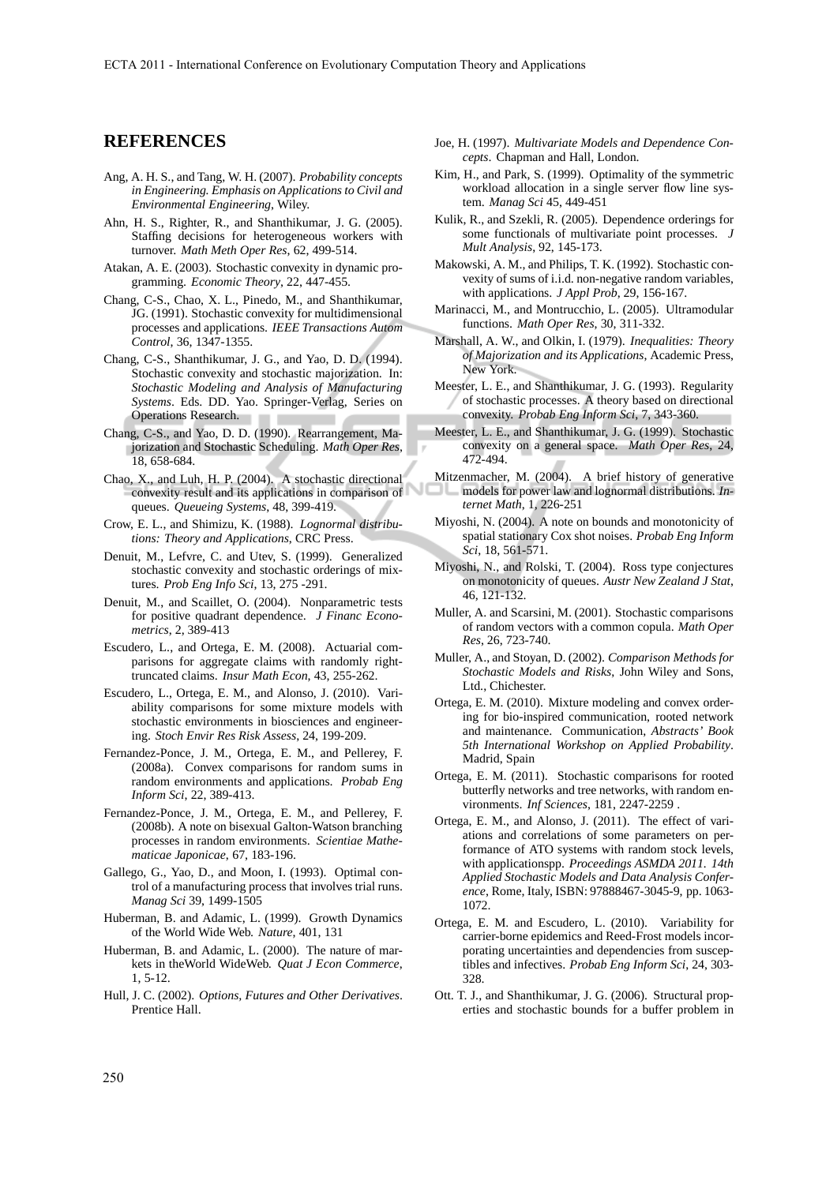### **REFERENCES**

- Ang, A. H. S., and Tang, W. H. (2007). *Probability concepts in Engineering. Emphasis on Applications to Civil and Environmental Engineering*, Wiley.
- Ahn, H. S., Righter, R., and Shanthikumar, J. G. (2005). Staffing decisions for heterogeneous workers with turnover. *Math Meth Oper Res*, 62, 499-514.
- Atakan, A. E. (2003). Stochastic convexity in dynamic programming. *Economic Theory*, 22, 447-455.
- Chang, C-S., Chao, X. L., Pinedo, M., and Shanthikumar, JG. (1991). Stochastic convexity for multidimensional processes and applications. *IEEE Transactions Autom Control*, 36, 1347-1355.
- Chang, C-S., Shanthikumar, J. G., and Yao, D. D. (1994). Stochastic convexity and stochastic majorization. In: *Stochastic Modeling and Analysis of Manufacturing Systems*. Eds. DD. Yao. Springer-Verlag, Series on Operations Research.
- Chang, C-S., and Yao, D. D. (1990). Rearrangement, Majorization and Stochastic Scheduling. *Math Oper Res*, 18, 658-684.
- Chao, X., and Luh, H. P. (2004). A stochastic directional convexity result and its applications in comparison of queues. *Queueing Systems*, 48, 399-419.
- Crow, E. L., and Shimizu, K. (1988). *Lognormal distributions: Theory and Applications*, CRC Press.
- Denuit, M., Lefvre, C. and Utev, S. (1999). Generalized stochastic convexity and stochastic orderings of mixtures. *Prob Eng Info Sci*, 13, 275 -291.
- Denuit, M., and Scaillet, O. (2004). Nonparametric tests for positive quadrant dependence. *J Financ Econometrics*, 2, 389-413
- Escudero, L., and Ortega, E. M. (2008). Actuarial comparisons for aggregate claims with randomly righttruncated claims. *Insur Math Econ*, 43, 255-262.
- Escudero, L., Ortega, E. M., and Alonso, J. (2010). Variability comparisons for some mixture models with stochastic environments in biosciences and engineering. *Stoch Envir Res Risk Assess*, 24, 199-209.
- Fernandez-Ponce, J. M., Ortega, E. M., and Pellerey, F. (2008a). Convex comparisons for random sums in random environments and applications. *Probab Eng Inform Sci*, 22, 389-413.
- Fernandez-Ponce, J. M., Ortega, E. M., and Pellerey, F. (2008b). A note on bisexual Galton-Watson branching processes in random environments. *Scientiae Mathematicae Japonicae*, 67, 183-196.
- Gallego, G., Yao, D., and Moon, I. (1993). Optimal control of a manufacturing process that involves trial runs. *Manag Sci* 39, 1499-1505
- Huberman, B. and Adamic, L. (1999). Growth Dynamics of the World Wide Web. *Nature*, 401, 131
- Huberman, B. and Adamic, L. (2000). The nature of markets in theWorld WideWeb. *Quat J Econ Commerce*, 1, 5-12.
- Hull, J. C. (2002). *Options, Futures and Other Derivatives*. Prentice Hall.
- Joe, H. (1997). *Multivariate Models and Dependence Concepts*. Chapman and Hall, London.
- Kim, H., and Park, S. (1999). Optimality of the symmetric workload allocation in a single server flow line system. *Manag Sci* 45, 449-451
- Kulik, R., and Szekli, R. (2005). Dependence orderings for some functionals of multivariate point processes. *J Mult Analysis*, 92, 145-173.
- Makowski, A. M., and Philips, T. K. (1992). Stochastic convexity of sums of i.i.d. non-negative random variables, with applications. *J Appl Prob*, 29, 156-167.
- Marinacci, M., and Montrucchio, L. (2005). Ultramodular functions. *Math Oper Res*, 30, 311-332.
- Marshall, A. W., and Olkin, I. (1979). *Inequalities: Theory of Majorization and its Applications*, Academic Press, New York.
- Meester, L. E., and Shanthikumar, J. G. (1993). Regularity of stochastic processes. A theory based on directional convexity. *Probab Eng Inform Sci*, 7, 343-360.
- Meester, L. E., and Shanthikumar, J. G. (1999). Stochastic convexity on a general space. *Math Oper Res*, 24, 472-494.
- Mitzenmacher, M. (2004). A brief history of generative models for power law and lognormal distributions. *Internet Math*, 1, 226-251
- Miyoshi, N. (2004). A note on bounds and monotonicity of spatial stationary Cox shot noises. *Probab Eng Inform Sci*, 18, 561-571.
- Miyoshi, N., and Rolski, T. (2004). Ross type conjectures on monotonicity of queues. *Austr New Zealand J Stat*, 46, 121-132.
- Muller, A. and Scarsini, M. (2001). Stochastic comparisons of random vectors with a common copula. *Math Oper Res*, 26, 723-740.
- Muller, A., and Stoyan, D. (2002). *Comparison Methods for Stochastic Models and Risks*, John Wiley and Sons, Ltd., Chichester.
- Ortega, E. M. (2010). Mixture modeling and convex ordering for bio-inspired communication, rooted network and maintenance. Communication, *Abstracts' Book 5th International Workshop on Applied Probability*. Madrid, Spain
- Ortega, E. M. (2011). Stochastic comparisons for rooted butterfly networks and tree networks, with random environments. *Inf Sciences*, 181, 2247-2259 .
- Ortega, E. M., and Alonso, J. (2011). The effect of variations and correlations of some parameters on performance of ATO systems with random stock levels, with applicationspp. *Proceedings ASMDA 2011. 14th Applied Stochastic Models and Data Analysis Conference*, Rome, Italy, ISBN: 97888467-3045-9, pp. 1063- 1072.
- Ortega, E. M. and Escudero, L. (2010). Variability for carrier-borne epidemics and Reed-Frost models incorporating uncertainties and dependencies from susceptibles and infectives. *Probab Eng Inform Sci*, 24, 303- 328.
- Ott. T. J., and Shanthikumar, J. G. (2006). Structural properties and stochastic bounds for a buffer problem in